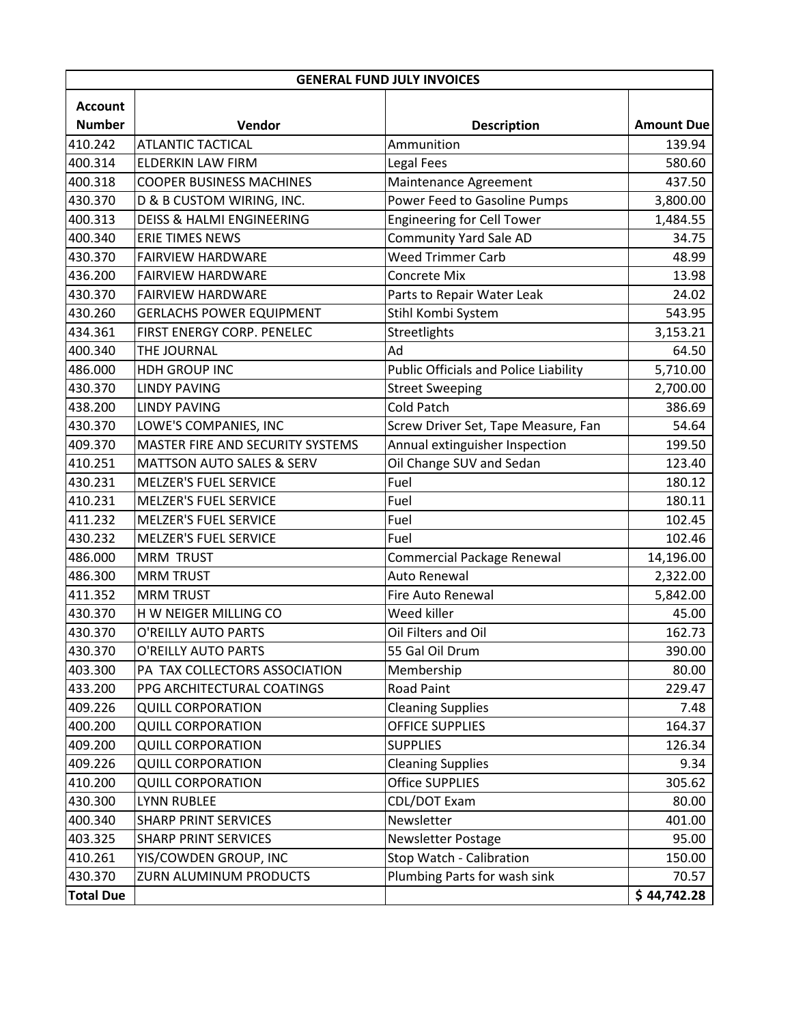| <b>GENERAL FUND JULY INVOICES</b> |                                      |                                              |                   |  |
|-----------------------------------|--------------------------------------|----------------------------------------------|-------------------|--|
| <b>Account</b>                    |                                      |                                              |                   |  |
| <b>Number</b>                     | Vendor                               | <b>Description</b>                           | <b>Amount Due</b> |  |
| 410.242                           | <b>ATLANTIC TACTICAL</b>             | Ammunition                                   | 139.94            |  |
| 400.314                           | <b>ELDERKIN LAW FIRM</b>             | Legal Fees                                   | 580.60            |  |
| 400.318                           | <b>COOPER BUSINESS MACHINES</b>      | Maintenance Agreement                        | 437.50            |  |
| 430.370                           | D & B CUSTOM WIRING, INC.            | Power Feed to Gasoline Pumps                 | 3,800.00          |  |
| 400.313                           | <b>DEISS &amp; HALMI ENGINEERING</b> | <b>Engineering for Cell Tower</b>            | 1,484.55          |  |
| 400.340                           | ERIE TIMES NEWS                      | <b>Community Yard Sale AD</b>                | 34.75             |  |
| 430.370                           | <b>FAIRVIEW HARDWARE</b>             | <b>Weed Trimmer Carb</b>                     | 48.99             |  |
| 436.200                           | <b>FAIRVIEW HARDWARE</b>             | Concrete Mix                                 | 13.98             |  |
| 430.370                           | <b>FAIRVIEW HARDWARE</b>             | Parts to Repair Water Leak                   | 24.02             |  |
| 430.260                           | <b>GERLACHS POWER EQUIPMENT</b>      | Stihl Kombi System                           | 543.95            |  |
| 434.361                           | FIRST ENERGY CORP. PENELEC           | Streetlights                                 | 3,153.21          |  |
| 400.340                           | THE JOURNAL                          | Ad                                           | 64.50             |  |
| 486.000                           | HDH GROUP INC                        | <b>Public Officials and Police Liability</b> | 5,710.00          |  |
| 430.370                           | <b>LINDY PAVING</b>                  | <b>Street Sweeping</b>                       | 2,700.00          |  |
| 438.200                           | <b>LINDY PAVING</b>                  | <b>Cold Patch</b>                            | 386.69            |  |
| 430.370                           | LOWE'S COMPANIES, INC                | Screw Driver Set, Tape Measure, Fan          | 54.64             |  |
| 409.370                           | MASTER FIRE AND SECURITY SYSTEMS     | Annual extinguisher Inspection               | 199.50            |  |
| 410.251                           | <b>MATTSON AUTO SALES &amp; SERV</b> | Oil Change SUV and Sedan                     | 123.40            |  |
| 430.231                           | <b>MELZER'S FUEL SERVICE</b>         | Fuel                                         | 180.12            |  |
| 410.231                           | <b>MELZER'S FUEL SERVICE</b>         | Fuel                                         | 180.11            |  |
| 411.232                           | <b>MELZER'S FUEL SERVICE</b>         | Fuel                                         | 102.45            |  |
| 430.232                           | <b>MELZER'S FUEL SERVICE</b>         | Fuel                                         | 102.46            |  |
| 486.000                           | <b>MRM TRUST</b>                     | <b>Commercial Package Renewal</b>            | 14,196.00         |  |
| 486.300                           | <b>MRM TRUST</b>                     | Auto Renewal                                 | 2,322.00          |  |
| 411.352                           | <b>MRM TRUST</b>                     | Fire Auto Renewal                            | 5,842.00          |  |
| 430.370                           | H W NEIGER MILLING CO                | Weed killer                                  | 45.00             |  |
| 430.370                           | O'REILLY AUTO PARTS                  | Oil Filters and Oil                          | 162.73            |  |
| 430.370                           | O'REILLY AUTO PARTS                  | 55 Gal Oil Drum                              | 390.00            |  |
| 403.300                           | PA TAX COLLECTORS ASSOCIATION        | Membership                                   | 80.00             |  |
| 433.200                           | PPG ARCHITECTURAL COATINGS           | <b>Road Paint</b>                            | 229.47            |  |
| 409.226                           | <b>QUILL CORPORATION</b>             | <b>Cleaning Supplies</b>                     | 7.48              |  |
| 400.200                           | <b>QUILL CORPORATION</b>             | OFFICE SUPPLIES                              | 164.37            |  |
| 409.200                           | <b>QUILL CORPORATION</b>             | <b>SUPPLIES</b>                              | 126.34            |  |
| 409.226                           | <b>QUILL CORPORATION</b>             | <b>Cleaning Supplies</b>                     | 9.34              |  |
| 410.200                           | <b>QUILL CORPORATION</b>             | <b>Office SUPPLIES</b>                       | 305.62            |  |
| 430.300                           | <b>LYNN RUBLEE</b>                   | CDL/DOT Exam                                 | 80.00             |  |
| 400.340                           | <b>SHARP PRINT SERVICES</b>          | Newsletter                                   | 401.00            |  |
| 403.325                           | <b>SHARP PRINT SERVICES</b>          | <b>Newsletter Postage</b>                    | 95.00             |  |
| 410.261                           | YIS/COWDEN GROUP, INC                | Stop Watch - Calibration                     | 150.00            |  |
| 430.370                           | ZURN ALUMINUM PRODUCTS               | Plumbing Parts for wash sink                 | 70.57             |  |
| <b>Total Due</b>                  |                                      |                                              | \$44,742.28       |  |